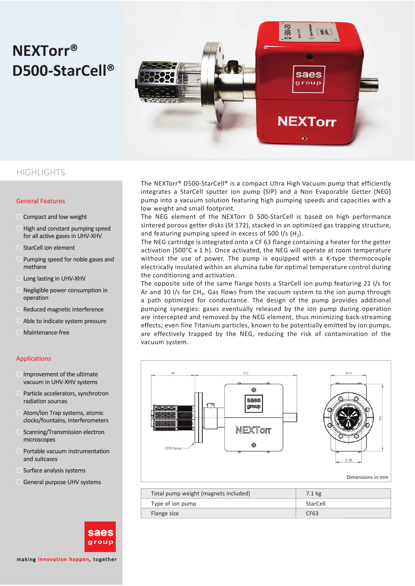# **NEXTorr® D500-StarCell®**



## **HIGHLIGHTS**

#### General Features

- $\Box$  Compact and low weight
- $H$  High and constant pumping speed for all active gases in UHV-XHV
- $S$  StarCell ion element
- **Pumping speed for noble gases and** methane
- $\Box$  Long lasting in UHV-XHV
- $\blacksquare$  Negligible power consumption in operation
- $R$  Reduced magnetic interference
- $\blacksquare$  Able to indicate system pressure
- **Maintenance-free**

#### Applications

- $\blacksquare$  Improvement of the ultimate vacuum in UHV-XHV systems
- **Particle accelerators, synchrotron** radiation sources
- $\blacksquare$  Atom/Ion Trap systems, atomic clocks/fountains, interferometers
- $\blacksquare$  Scanning/Transmission electron microscopes
- **Portable vacuum instrumentation** and suitcases
- $\blacksquare$  Surface analysis systems
- $\blacksquare$  General purpose UHV systems



making innovation happen, together

The NEXTorr® D500-StarCell® is a compact Ultra High Vacuum pump that efficiently integrates a StarCell sputter ion pump (SIP) and a Non Evaporable Getter (NEG) pump into a vacuum solution featuring high pumping speeds and capacities with a low weight and small footprint.

The NEG element of the NEXTorr D 500-StarCell is based on high performance sintered porous getter disks (St 172), stacked in an optimized gas trapping structure, and featuring pumping speed in excess of 500  $1/s$  (H<sub>2</sub>).

The NEG cartridge is integrated onto a CF 63 flange containing a heater for the getter activation (500°C x 1 h). Once activated, the NEG will operate at room temperature without the use of power. The pump is equipped with a K-type thermocouple electrically insulated within an alumina tube for optimal temperature control during the conditioning and activation.

The opposite side of the same flange hosts a StarCell ion pump featuring 21 l/s for Ar and 30 l/s for CH<sub>4</sub>. Gas flows from the vacuum system to the ion pump through a path optimized for conductance. The design of the pump provides additional pumping synergies: gases eventually released by the ion pump during operation are intercepted and removed by the NEG element, thus minimizing back-streaming effects; even fine Titanium particles, known to be potentially emitted by ion pumps, are effectively trapped by the NEG, reducing the risk of contamination of the vacuum system.



| Total pump weight (magnets included) | $7.1 \text{ kg}$ |
|--------------------------------------|------------------|
| Type of ion pump                     | StarCell         |
| Flange size                          | CF63             |